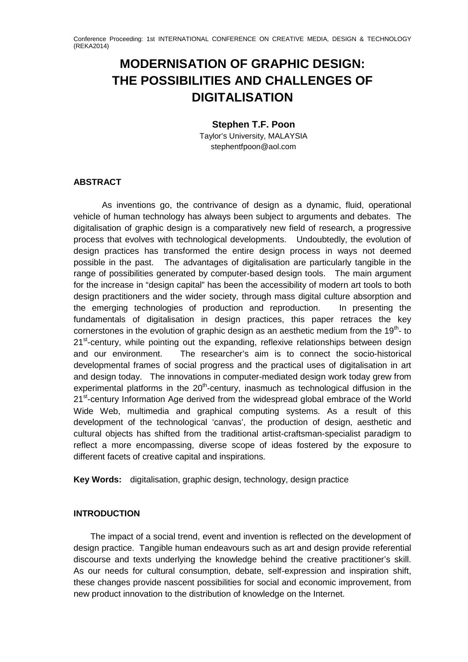# **MODERNISATION OF GRAPHIC DESIGN: THE POSSIBILITIES AND CHALLENGES OF DIGITALISATION**

## **Stephen T.F. Poon**

Taylor's University, MALAYSIA stephentfpoon@aol.com

## **ABSTRACT**

As inventions go, the contrivance of design as a dynamic, fluid, operational vehicle of human technology has always been subject to arguments and debates. The digitalisation of graphic design is a comparatively new field of research, a progressive process that evolves with technological developments. Undoubtedly, the evolution of design practices has transformed the entire design process in ways not deemed possible in the past. The advantages of digitalisation are particularly tangible in the range of possibilities generated by computer-based design tools. The main argument for the increase in "design capital" has been the accessibility of modern art tools to both design practitioners and the wider society, through mass digital culture absorption and the emerging technologies of production and reproduction. In presenting the fundamentals of digitalisation in design practices, this paper retraces the key cornerstones in the evolution of graphic design as an aesthetic medium from the  $19<sup>th</sup>$ - to 21<sup>st</sup>-century, while pointing out the expanding, reflexive relationships between design and our environment. The researcher's aim is to connect the socio-historical developmental frames of social progress and the practical uses of digitalisation in art and design today. The innovations in computer-mediated design work today grew from experimental platforms in the  $20<sup>th</sup>$ -century, inasmuch as technological diffusion in the 21<sup>st</sup>-century Information Age derived from the widespread global embrace of the World Wide Web, multimedia and graphical computing systems. As a result of this development of the technological 'canvas', the production of design, aesthetic and cultural objects has shifted from the traditional artist-craftsman-specialist paradigm to reflect a more encompassing, diverse scope of ideas fostered by the exposure to different facets of creative capital and inspirations.

**Key Words:** digitalisation, graphic design, technology, design practice

# **INTRODUCTION**

The impact of a social trend, event and invention is reflected on the development of design practice. Tangible human endeavours such as art and design provide referential discourse and texts underlying the knowledge behind the creative practitioner's skill. As our needs for cultural consumption, debate, self-expression and inspiration shift, these changes provide nascent possibilities for social and economic improvement, from new product innovation to the distribution of knowledge on the Internet.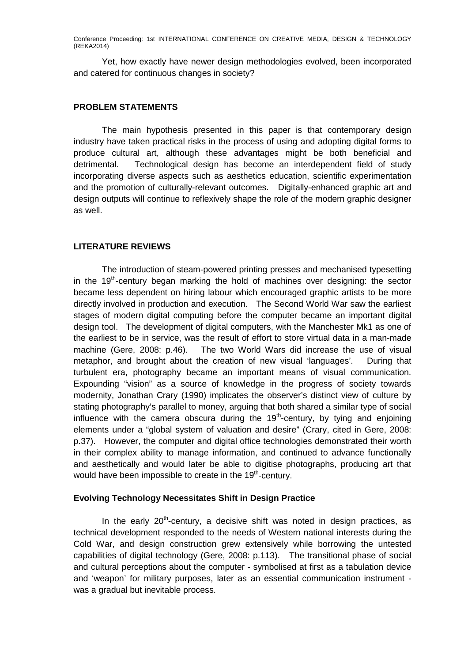Yet, how exactly have newer design methodologies evolved, been incorporated and catered for continuous changes in society?

#### **PROBLEM STATEMENTS**

The main hypothesis presented in this paper is that contemporary design industry have taken practical risks in the process of using and adopting digital forms to produce cultural art, although these advantages might be both beneficial and detrimental. Technological design has become an interdependent field of study incorporating diverse aspects such as aesthetics education, scientific experimentation and the promotion of culturally-relevant outcomes. Digitally-enhanced graphic art and design outputs will continue to reflexively shape the role of the modern graphic designer as well.

## **LITERATURE REVIEWS**

The introduction of steam-powered printing presses and mechanised typesetting in the  $19<sup>th</sup>$ -century began marking the hold of machines over designing: the sector became less dependent on hiring labour which encouraged graphic artists to be more directly involved in production and execution. The Second World War saw the earliest stages of modern digital computing before the computer became an important digital design tool. The development of digital computers, with the Manchester Mk1 as one of the earliest to be in service, was the result of effort to store virtual data in a man-made machine (Gere, 2008: p.46). The two World Wars did increase the use of visual metaphor, and brought about the creation of new visual 'languages'. During that turbulent era, photography became an important means of visual communication. Expounding "vision" as a source of knowledge in the progress of society towards modernity, Jonathan Crary (1990) implicates the observer's distinct view of culture by stating photography's parallel to money, arguing that both shared a similar type of social influence with the camera obscura during the  $19<sup>th</sup>$ -century, by tying and enjoining elements under a "global system of valuation and desire" (Crary, cited in Gere, 2008: p.37). However, the computer and digital office technologies demonstrated their worth in their complex ability to manage information, and continued to advance functionally and aesthetically and would later be able to digitise photographs, producing art that would have been impossible to create in the  $19<sup>th</sup>$ -century.

### **Evolving Technology Necessitates Shift in Design Practice**

In the early  $20<sup>th</sup>$ -century, a decisive shift was noted in design practices, as technical development responded to the needs of Western national interests during the Cold War, and design construction grew extensively while borrowing the untested capabilities of digital technology (Gere, 2008: p.113). The transitional phase of social and cultural perceptions about the computer - symbolised at first as a tabulation device and 'weapon' for military purposes, later as an essential communication instrument was a gradual but inevitable process.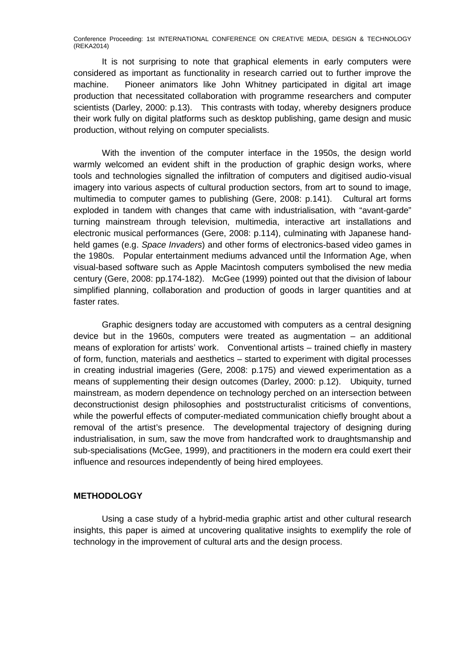It is not surprising to note that graphical elements in early computers were considered as important as functionality in research carried out to further improve the machine. Pioneer animators like John Whitney participated in digital art image production that necessitated collaboration with programme researchers and computer scientists (Darley, 2000: p.13). This contrasts with today, whereby designers produce their work fully on digital platforms such as desktop publishing, game design and music production, without relying on computer specialists.

With the invention of the computer interface in the 1950s, the design world warmly welcomed an evident shift in the production of graphic design works, where tools and technologies signalled the infiltration of computers and digitised audio-visual imagery into various aspects of cultural production sectors, from art to sound to image, multimedia to computer games to publishing (Gere, 2008: p.141). Cultural art forms exploded in tandem with changes that came with industrialisation, with "avant-garde" turning mainstream through television, multimedia, interactive art installations and electronic musical performances (Gere, 2008: p.114), culminating with Japanese handheld games (e.g. *Space Invaders*) and other forms of electronics-based video games in the 1980s. Popular entertainment mediums advanced until the Information Age, when visual-based software such as Apple Macintosh computers symbolised the new media century (Gere, 2008: pp.174-182). McGee (1999) pointed out that the division of labour simplified planning, collaboration and production of goods in larger quantities and at faster rates.

Graphic designers today are accustomed with computers as a central designing device but in the 1960s, computers were treated as augmentation – an additional means of exploration for artists' work. Conventional artists – trained chiefly in mastery of form, function, materials and aesthetics – started to experiment with digital processes in creating industrial imageries (Gere, 2008: p.175) and viewed experimentation as a means of supplementing their design outcomes (Darley, 2000: p.12). Ubiquity, turned mainstream, as modern dependence on technology perched on an intersection between deconstructionist design philosophies and poststructuralist criticisms of conventions, while the powerful effects of computer-mediated communication chiefly brought about a removal of the artist's presence. The developmental trajectory of designing during industrialisation, in sum, saw the move from handcrafted work to draughtsmanship and sub-specialisations (McGee, 1999), and practitioners in the modern era could exert their influence and resources independently of being hired employees.

### **METHODOLOGY**

Using a case study of a hybrid-media graphic artist and other cultural research insights, this paper is aimed at uncovering qualitative insights to exemplify the role of technology in the improvement of cultural arts and the design process.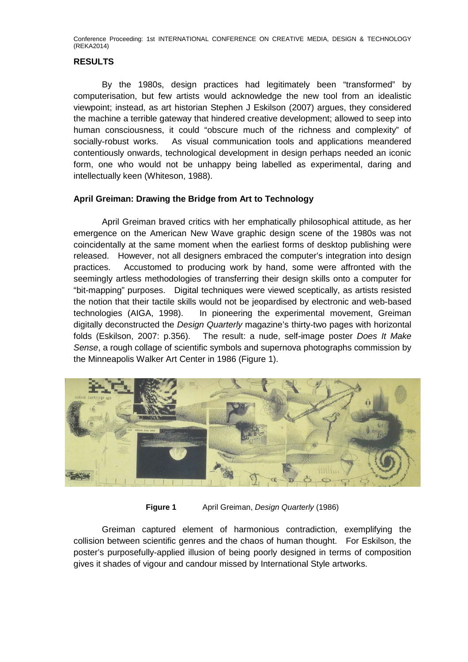## **RESULTS**

By the 1980s, design practices had legitimately been "transformed" by computerisation, but few artists would acknowledge the new tool from an idealistic viewpoint; instead, as art historian Stephen J Eskilson (2007) argues, they considered the machine a terrible gateway that hindered creative development; allowed to seep into human consciousness, it could "obscure much of the richness and complexity" of socially-robust works. As visual communication tools and applications meandered contentiously onwards, technological development in design perhaps needed an iconic form, one who would not be unhappy being labelled as experimental, daring and intellectually keen (Whiteson, 1988).

## **April Greiman: Drawing the Bridge from Art to Technology**

April Greiman braved critics with her emphatically philosophical attitude, as her emergence on the American New Wave graphic design scene of the 1980s was not coincidentally at the same moment when the earliest forms of desktop publishing were released. However, not all designers embraced the computer's integration into design practices. Accustomed to producing work by hand, some were affronted with the seemingly artless methodologies of transferring their design skills onto a computer for "bit-mapping" purposes. Digital techniques were viewed sceptically, as artists resisted the notion that their tactile skills would not be jeopardised by electronic and web-based technologies (AIGA, 1998). In pioneering the experimental movement, Greiman digitally deconstructed the *Design Quarterly* magazine's thirty-two pages with horizontal folds (Eskilson, 2007: p.356). The result: a nude, self-image poster *Does It Make Sense*, a rough collage of scientific symbols and supernova photographs commission by the Minneapolis Walker Art Center in 1986 (Figure 1).



**Figure 1** April Greiman, *Design Quarterly* (1986)

Greiman captured element of harmonious contradiction, exemplifying the collision between scientific genres and the chaos of human thought. For Eskilson, the poster's purposefully-applied illusion of being poorly designed in terms of composition gives it shades of vigour and candour missed by International Style artworks.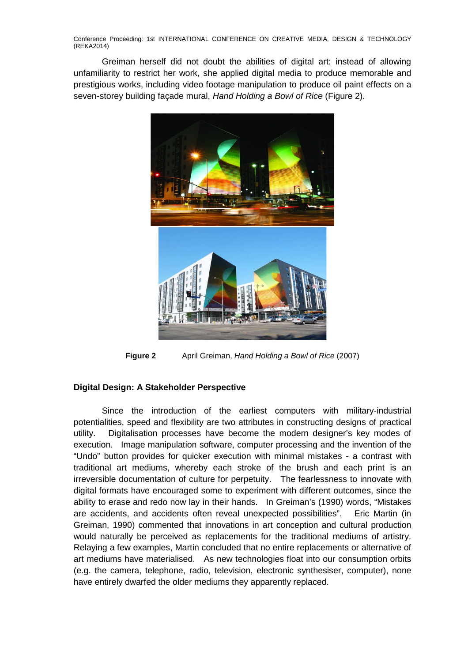Greiman herself did not doubt the abilities of digital art: instead of allowing unfamiliarity to restrict her work, she applied digital media to produce memorable and prestigious works, including video footage manipulation to produce oil paint effects on a seven-storey building façade mural, *Hand Holding a Bowl of Rice* (Figure 2).



**Figure 2** April Greiman, *Hand Holding a Bowl of Rice* (2007)

## **Digital Design: A Stakeholder Perspective**

Since the introduction of the earliest computers with military-industrial potentialities, speed and flexibility are two attributes in constructing designs of practical utility. Digitalisation processes have become the modern designer's key modes of execution. Image manipulation software, computer processing and the invention of the "Undo" button provides for quicker execution with minimal mistakes - a contrast with traditional art mediums, whereby each stroke of the brush and each print is an irreversible documentation of culture for perpetuity. The fearlessness to innovate with digital formats have encouraged some to experiment with different outcomes, since the ability to erase and redo now lay in their hands. In Greiman's (1990) words, "Mistakes are accidents, and accidents often reveal unexpected possibilities". Eric Martin (in Greiman, 1990) commented that innovations in art conception and cultural production would naturally be perceived as replacements for the traditional mediums of artistry. Relaying a few examples, Martin concluded that no entire replacements or alternative of art mediums have materialised. As new technologies float into our consumption orbits (e.g. the camera, telephone, radio, television, electronic synthesiser, computer), none have entirely dwarfed the older mediums they apparently replaced.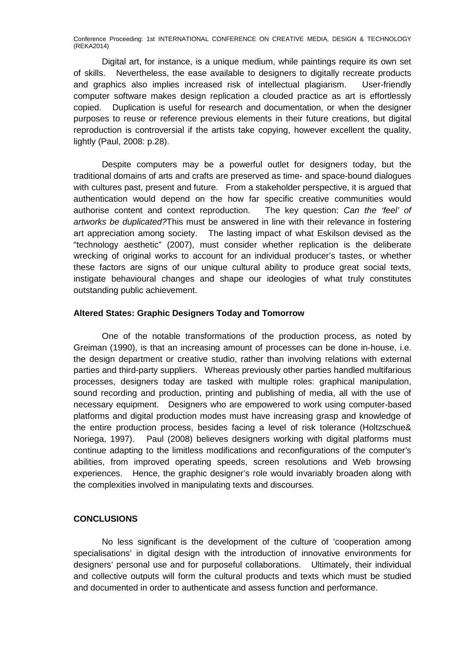Digital art, for instance, is a unique medium, while paintings require its own set of skills. Nevertheless, the ease available to designers to digitally recreate products and graphics also implies increased risk of intellectual plagiarism. User-friendly computer software makes design replication a clouded practice as art is effortlessly copied. Duplication is useful for research and documentation, or when the designer purposes to reuse or reference previous elements in their future creations, but digital reproduction is controversial if the artists take copying, however excellent the quality, lightly (Paul, 2008: p.28).

Despite computers may be a powerful outlet for designers today, but the traditional domains of arts and crafts are preserved as time- and space-bound dialogues with cultures past, present and future. From a stakeholder perspective, it is argued that authentication would depend on the how far specific creative communities would authorise content and context reproduction. The key question: *Can the 'feel' of artworks be duplicated?*This must be answered in line with their relevance in fostering art appreciation among society. The lasting impact of what Eskilson devised as the "technology aesthetic" (2007), must consider whether replication is the deliberate wrecking of original works to account for an individual producer's tastes, or whether these factors are signs of our unique cultural ability to produce great social texts, instigate behavioural changes and shape our ideologies of what truly constitutes outstanding public achievement.

### **Altered States: Graphic Designers Today and Tomorrow**

One of the notable transformations of the production process, as noted by Greiman (1990), is that an increasing amount of processes can be done in-house, i.e. the design department or creative studio, rather than involving relations with external parties and third-party suppliers. Whereas previously other parties handled multifarious processes, designers today are tasked with multiple roles: graphical manipulation, sound recording and production, printing and publishing of media, all with the use of necessary equipment. Designers who are empowered to work using computer-based platforms and digital production modes must have increasing grasp and knowledge of the entire production process, besides facing a level of risk tolerance (Holtzschue& Noriega, 1997). Paul (2008) believes designers working with digital platforms must continue adapting to the limitless modifications and reconfigurations of the computer's abilities, from improved operating speeds, screen resolutions and Web browsing experiences. Hence, the graphic designer's role would invariably broaden along with the complexities involved in manipulating texts and discourses.

### **CONCLUSIONS**

No less significant is the development of the culture of 'cooperation among specialisations' in digital design with the introduction of innovative environments for designers' personal use and for purposeful collaborations. Ultimately, their individual and collective outputs will form the cultural products and texts which must be studied and documented in order to authenticate and assess function and performance.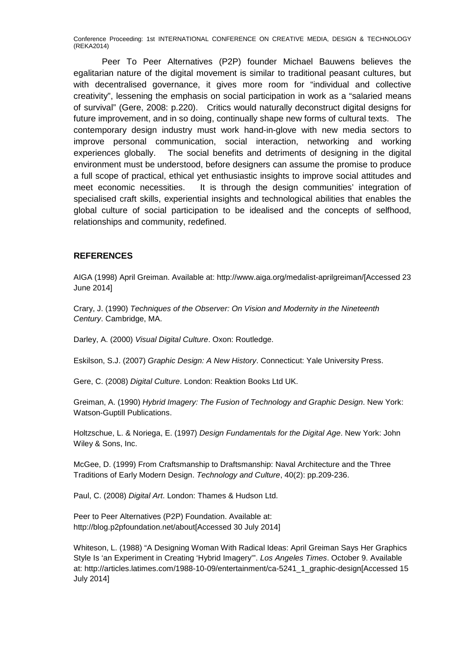Peer To Peer Alternatives (P2P) founder Michael Bauwens believes the egalitarian nature of the digital movement is similar to traditional peasant cultures, but with decentralised governance, it gives more room for "individual and collective creativity", lessening the emphasis on social participation in work as a "salaried means of survival" (Gere, 2008: p.220). Critics would naturally deconstruct digital designs for future improvement, and in so doing, continually shape new forms of cultural texts. The contemporary design industry must work hand-in-glove with new media sectors to improve personal communication, social interaction, networking and working experiences globally. The social benefits and detriments of designing in the digital environment must be understood, before designers can assume the promise to produce a full scope of practical, ethical yet enthusiastic insights to improve social attitudes and meet economic necessities. It is through the design communities' integration of specialised craft skills, experiential insights and technological abilities that enables the global culture of social participation to be idealised and the concepts of selfhood, relationships and community, redefined.

## **REFERENCES**

AIGA (1998) April Greiman. Available at: http://www.aiga.org/medalist-aprilgreiman/[Accessed 23 June 2014]

Crary, J. (1990) *Techniques of the Observer: On Vision and Modernity in the Nineteenth Century*. Cambridge, MA.

Darley, A. (2000) *Visual Digital Culture*. Oxon: Routledge.

Eskilson, S.J. (2007) *Graphic Design: A New History*. Connecticut: Yale University Press.

Gere, C. (2008) *Digital Culture*. London: Reaktion Books Ltd UK.

Greiman, A. (1990) *Hybrid Imagery: The Fusion of Technology and Graphic Design*. New York: Watson-Guptill Publications.

Holtzschue, L. & Noriega, E. (1997) *Design Fundamentals for the Digital Age*. New York: John Wiley & Sons, Inc.

McGee, D. (1999) From Craftsmanship to Draftsmanship: Naval Architecture and the Three Traditions of Early Modern Design. *Technology and Culture*, 40(2): pp.209-236.

Paul, C. (2008) *Digital Art*. London: Thames & Hudson Ltd.

Peer to Peer Alternatives (P2P) Foundation. Available at: http://blog.p2pfoundation.net/about[Accessed 30 July 2014]

Whiteson, L. (1988) "A Designing Woman With Radical Ideas: April Greiman Says Her Graphics Style Is 'an Experiment in Creating 'Hybrid Imagery'". *Los Angeles Times*. October 9. Available at: http://articles.latimes.com/1988-10-09/entertainment/ca-5241\_1\_graphic-design[Accessed 15 July 2014]